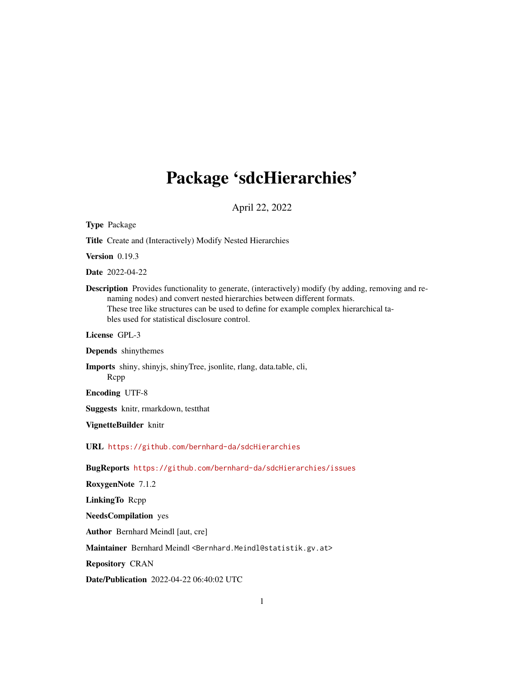# Package 'sdcHierarchies'

April 22, 2022

<span id="page-0-0"></span>

| <b>Type Package</b>                                                                                                                                                                                                                                                                                                             |  |  |
|---------------------------------------------------------------------------------------------------------------------------------------------------------------------------------------------------------------------------------------------------------------------------------------------------------------------------------|--|--|
| Title Create and (Interactively) Modify Nested Hierarchies                                                                                                                                                                                                                                                                      |  |  |
| Version $0.19.3$                                                                                                                                                                                                                                                                                                                |  |  |
| <b>Date</b> 2022-04-22                                                                                                                                                                                                                                                                                                          |  |  |
| <b>Description</b> Provides functionality to generate, (interactively) modify (by adding, removing and re-<br>naming nodes) and convert nested hierarchies between different formats.<br>These tree like structures can be used to define for example complex hierarchical ta-<br>bles used for statistical disclosure control. |  |  |
| License GPL-3                                                                                                                                                                                                                                                                                                                   |  |  |
| Depends shinythemes                                                                                                                                                                                                                                                                                                             |  |  |
| Imports shiny, shinyjs, shinyTree, jsonlite, rlang, data.table, cli,<br>Rcpp                                                                                                                                                                                                                                                    |  |  |
| <b>Encoding UTF-8</b>                                                                                                                                                                                                                                                                                                           |  |  |
| Suggests knitr, rmarkdown, testthat                                                                                                                                                                                                                                                                                             |  |  |
| VignetteBuilder knitr                                                                                                                                                                                                                                                                                                           |  |  |
| URL https://github.com/bernhard-da/sdcHierarchies                                                                                                                                                                                                                                                                               |  |  |
| BugReports https://github.com/bernhard-da/sdcHierarchies/issues                                                                                                                                                                                                                                                                 |  |  |
| RoxygenNote 7.1.2                                                                                                                                                                                                                                                                                                               |  |  |
| LinkingTo Repp                                                                                                                                                                                                                                                                                                                  |  |  |
| <b>NeedsCompilation</b> yes                                                                                                                                                                                                                                                                                                     |  |  |
| Author Bernhard Meindl [aut, cre]                                                                                                                                                                                                                                                                                               |  |  |
| Maintainer Bernhard Meindl <bernhard.meindl@statistik.gv.at></bernhard.meindl@statistik.gv.at>                                                                                                                                                                                                                                  |  |  |
| <b>Repository CRAN</b>                                                                                                                                                                                                                                                                                                          |  |  |
| <b>Date/Publication</b> 2022-04-22 06:40:02 UTC                                                                                                                                                                                                                                                                                 |  |  |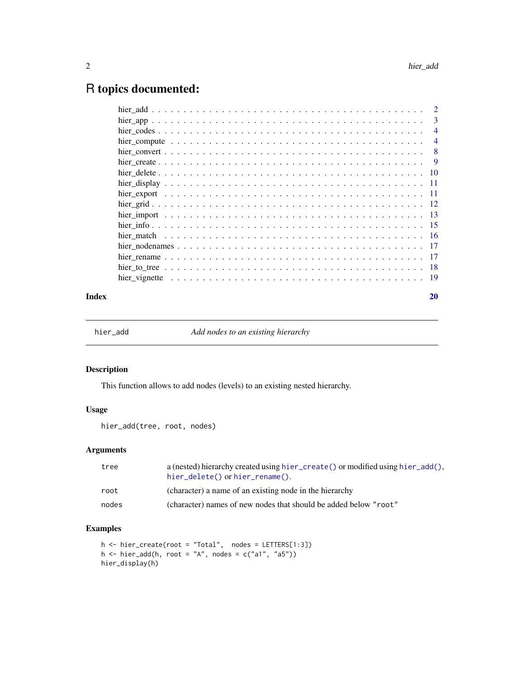# <span id="page-1-0"></span>R topics documented:

|       | -3             |
|-------|----------------|
|       | $\overline{4}$ |
|       | $\overline{4}$ |
|       |                |
|       |                |
|       |                |
|       |                |
|       |                |
|       |                |
|       |                |
|       |                |
|       |                |
|       |                |
|       |                |
|       |                |
|       |                |
| Index | 20             |

<span id="page-1-1"></span>

hier\_add *Add nodes to an existing hierarchy*

# Description

This function allows to add nodes (levels) to an existing nested hierarchy.

# Usage

hier\_add(tree, root, nodes)

# Arguments

| tree  | a (nested) hierarchy created using hier_create() or modified using hier_add(),<br>hier_delete() or hier_rename(). |
|-------|-------------------------------------------------------------------------------------------------------------------|
| root  | (character) a name of an existing node in the hierarchy                                                           |
| nodes | (character) names of new nodes that should be added below "root"                                                  |

```
h <- hier_create(root = "Total", nodes = LETTERS[1:3])
h <- hier_add(h, root = "A", nodes = c("a1", "a5"))hier_display(h)
```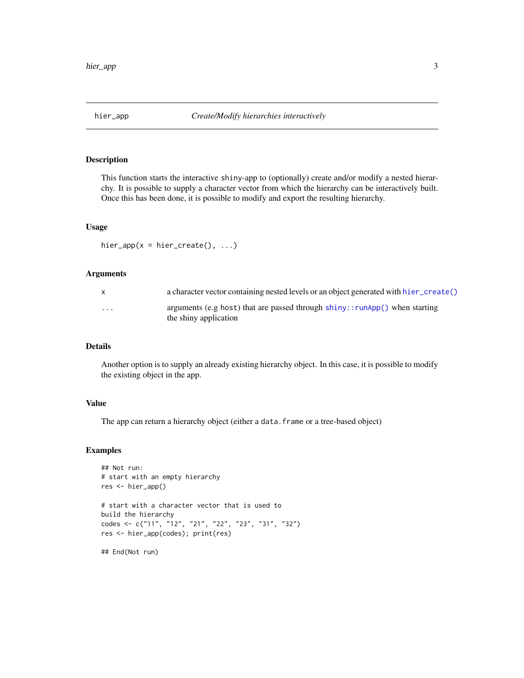<span id="page-2-0"></span>

This function starts the interactive shiny-app to (optionally) create and/or modify a nested hierarchy. It is possible to supply a character vector from which the hierarchy can be interactively built. Once this has been done, it is possible to modify and export the resulting hierarchy.

# Usage

hier\_app( $x = hier_ccreate()$ , ...)

# Arguments

| $\mathsf{X}$ | a character vector containing nested levels or an object generated with hier_create()                         |
|--------------|---------------------------------------------------------------------------------------------------------------|
| $\cdots$     | arguments (e.g host) that are passed through $\text{shiny}$ : runApp() when starting<br>the shiny application |

# Details

Another option is to supply an already existing hierarchy object. In this case, it is possible to modify the existing object in the app.

# Value

The app can return a hierarchy object (either a data.frame or a tree-based object)

#### Examples

```
## Not run:
# start with an empty hierarchy
res <- hier_app()
# start with a character vector that is used to
build the hierarchy
codes <- c("11", "12", "21", "22", "23", "31", "32")
res <- hier_app(codes); print(res)
```
## End(Not run)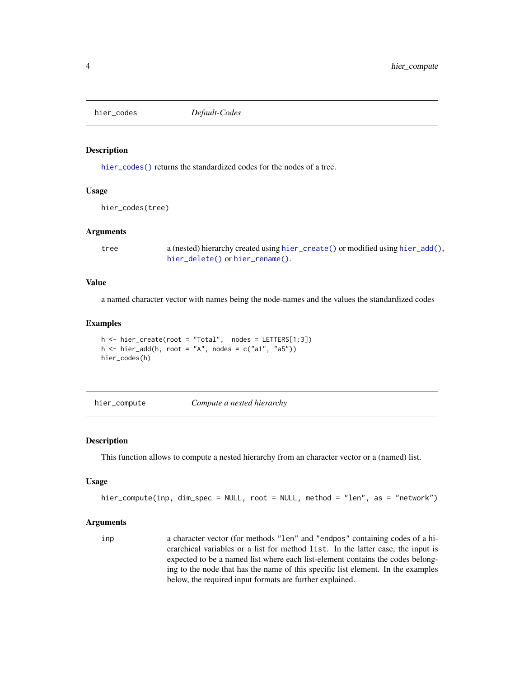<span id="page-3-1"></span><span id="page-3-0"></span>hier\_codes *Default-Codes*

# Description

[hier\\_codes\(\)](#page-3-1) returns the standardized codes for the nodes of a tree.

#### Usage

hier\_codes(tree)

#### **Arguments**

tree a (nested) hierarchy created using [hier\\_create\(\)](#page-8-1) or modified using [hier\\_add\(\)](#page-1-1), [hier\\_delete\(\)](#page-9-1) or [hier\\_rename\(\)](#page-16-1).

#### Value

a named character vector with names being the node-names and the values the standardized codes

#### Examples

```
h \leq -hier\_create(root = "Total", nodes = LETTERs[1:3])h \le - \text{hier\_add}(h, \text{root} = "A", \text{nodes} = c("a1", "a5"))hier_codes(h)
```
<span id="page-3-2"></span>hier\_compute *Compute a nested hierarchy*

#### Description

This function allows to compute a nested hierarchy from an character vector or a (named) list.

#### Usage

```
hier_compute(inp, dim_spec = NULL, root = NULL, method = "len", as = "network")
```
# Arguments

inp a character vector (for methods "len" and "endpos" containing codes of a hierarchical variables or a list for method list. In the latter case, the input is expected to be a named list where each list-element contains the codes belonging to the node that has the name of this specific list element. In the examples below, the required input formats are further explained.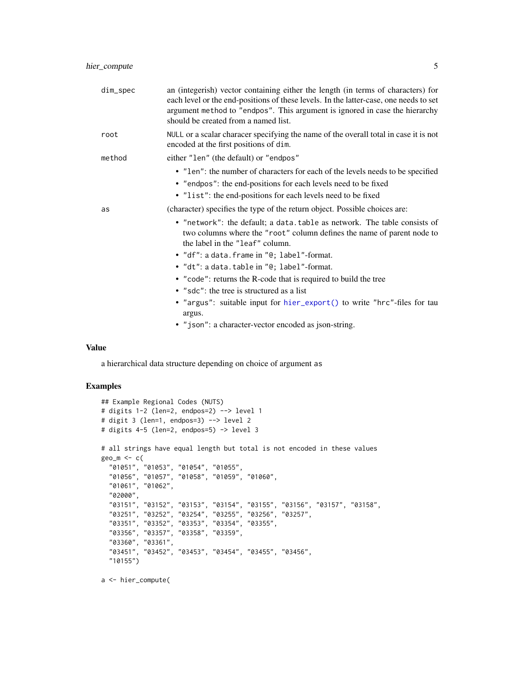<span id="page-4-0"></span>

| dim_spec | an (integerish) vector containing either the length (in terms of characters) for<br>each level or the end-positions of these levels. In the latter-case, one needs to set<br>argument method to "endpos". This argument is ignored in case the hierarchy<br>should be created from a named list. |
|----------|--------------------------------------------------------------------------------------------------------------------------------------------------------------------------------------------------------------------------------------------------------------------------------------------------|
| root     | NULL or a scalar characer specifying the name of the overall total in case it is not<br>encoded at the first positions of dim.                                                                                                                                                                   |
| method   | either "len" (the default) or "endpos"                                                                                                                                                                                                                                                           |
|          | • "len": the number of characters for each of the levels needs to be specified<br>• "endpos": the end-positions for each levels need to be fixed<br>• "list": the end-positions for each levels need to be fixed                                                                                 |
| as       | (character) specifies the type of the return object. Possible choices are:                                                                                                                                                                                                                       |
|          | • "network": the default; a data.table as network. The table consists of<br>two columns where the "root" column defines the name of parent node to<br>the label in the "leaf" column.                                                                                                            |
|          | • "df": a data.frame in "@; label"-format.                                                                                                                                                                                                                                                       |
|          | . "dt": a data.table in "@; label"-format.                                                                                                                                                                                                                                                       |
|          | • "code": returns the R-code that is required to build the tree                                                                                                                                                                                                                                  |
|          | • "sdc": the tree is structured as a list                                                                                                                                                                                                                                                        |
|          | • "argus": suitable input for hier_export() to write "hrc"-files for tau<br>argus.                                                                                                                                                                                                               |
|          | • "json": a character-vector encoded as json-string.                                                                                                                                                                                                                                             |

#### Value

a hierarchical data structure depending on choice of argument as

# Examples

```
## Example Regional Codes (NUTS)
# digits 1-2 (len=2, endpos=2) --> level 1
# digit 3 (len=1, endpos=3) --> level 2
# digits 4-5 (len=2, endpos=5) -> level 3
# all strings have equal length but total is not encoded in these values
geo_m <- c(
  "01051", "01053", "01054", "01055",
  "01056", "01057", "01058", "01059", "01060",
  "01061", "01062",
 "02000",
  "03151", "03152", "03153", "03154", "03155", "03156", "03157", "03158",
  "03251", "03252", "03254", "03255", "03256", "03257",
  "03351", "03352", "03353", "03354", "03355",
  "03356", "03357", "03358", "03359",
  "03360", "03361",
  "03451", "03452", "03453", "03454", "03455", "03456",
  "10155")
```
a <- hier\_compute(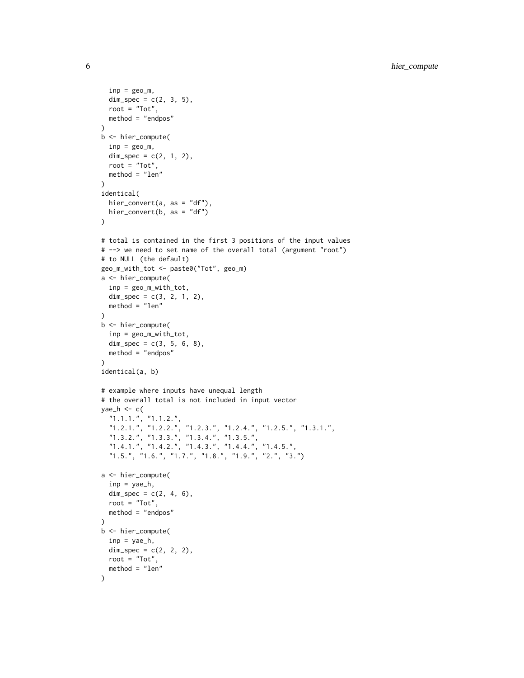```
inp = geo_m,dim\_spec = c(2, 3, 5),root = "Tot",
 method = "endpos"
)
b <- hier_compute(
 inp = geo_m,dim\_spec = c(2, 1, 2),root = "Tot",method = "len"
\mathcal{L}identical(
  hier_convert(a, as = "df"),
  hier_convert(b, as = "df")
)
# total is contained in the first 3 positions of the input values
# --> we need to set name of the overall total (argument "root")
# to NULL (the default)
geo_m_with_tot <- paste0("Tot", geo_m)
a <- hier_compute(
  inp = geo_m_with_tot,
  dim\_spec = c(3, 2, 1, 2),method = "len"
\lambdab <- hier_compute(
  inp = geo_m_with_tot,
  dim\_spec = c(3, 5, 6, 8),method = "endpos"
)
identical(a, b)
# example where inputs have unequal length
# the overall total is not included in input vector
yae_h \leq c(
  "1.1.1.", "1.1.2.",
  "1.2.1.", "1.2.2.", "1.2.3.", "1.2.4.", "1.2.5.", "1.3.1.",
  "1.3.2.", "1.3.3.", "1.3.4.", "1.3.5.",
  "1.4.1.", "1.4.2.", "1.4.3.", "1.4.4.", "1.4.5.",
  "1.5.", "1.6.", "1.7.", "1.8.", "1.9.", "2.", "3.")
a <- hier_compute(
  inp = yae_h,
  dim\_spec = c(2, 4, 6),root = "Tot",method = "endpos"
)
b <- hier_compute(
  inp = yae_h,dim\_spec = c(2, 2, 2),root = "Tot",method = "len"
\mathcal{L}
```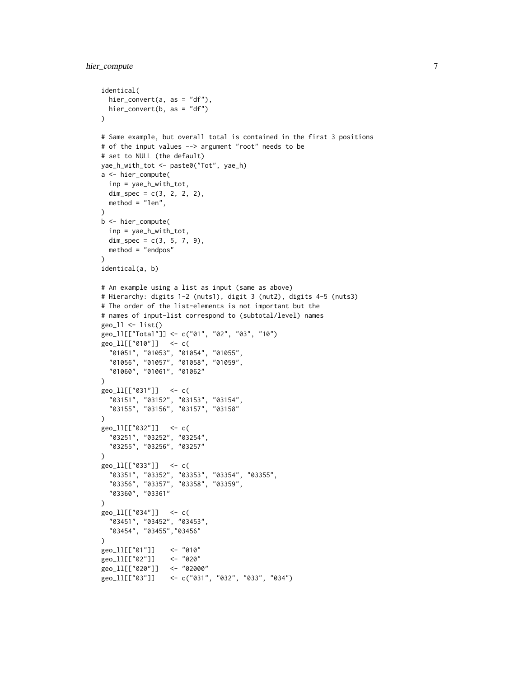# hier\_compute 7

```
identical(
  hier_convert(a, as = "df"),
  hier_convert(b, as = "df")
\lambda# Same example, but overall total is contained in the first 3 positions
# of the input values --> argument "root" needs to be
# set to NULL (the default)
yae_h_with_tot <- paste0("Tot", yae_h)
a <- hier_compute(
  inp = yae_h_with_tot,
  dim_spec = c(3, 2, 2, 2),
 method = "len",
)
b <- hier_compute(
  inp = yae_h_with_tot,
  dim_spec = c(3, 5, 7, 9),
 method = "endpos"
\lambdaidentical(a, b)
# An example using a list as input (same as above)
# Hierarchy: digits 1-2 (nuts1), digit 3 (nut2), digits 4-5 (nuts3)
# The order of the list-elements is not important but the
# names of input-list correspond to (subtotal/level) names
geo_l1 < -list()
geo_ll[["Total"]] <- c("01", "02", "03", "10")
geo_ll[["010"]] <- c(
  "01051", "01053", "01054", "01055",
  "01056", "01057", "01058", "01059",
  "01060", "01061", "01062"
\lambdageo_ll[["031"]] <- c(
  "03151", "03152", "03153", "03154",
  "03155", "03156", "03157", "03158"
\lambdageo_ll[["032"]] <- c(
  "03251", "03252", "03254",
  "03255", "03256", "03257"
)
geo_ll[["033"]] <- c(
  "03351", "03352", "03353", "03354", "03355",
  "03356", "03357", "03358", "03359",
  "03360", "03361"
\lambdageo_ll[["034"]] <- c(
  "03451", "03452", "03453",
  "03454", "03455","03456"
\lambdageo_ll[["01"]] <- "010"<br>geo_ll[["02"]] <- "020"
geo_ll[["02"]]
geo_ll[["020"]] <- "02000"
geo_ll[["03"]] <- c("031", "032", "033", "034")
```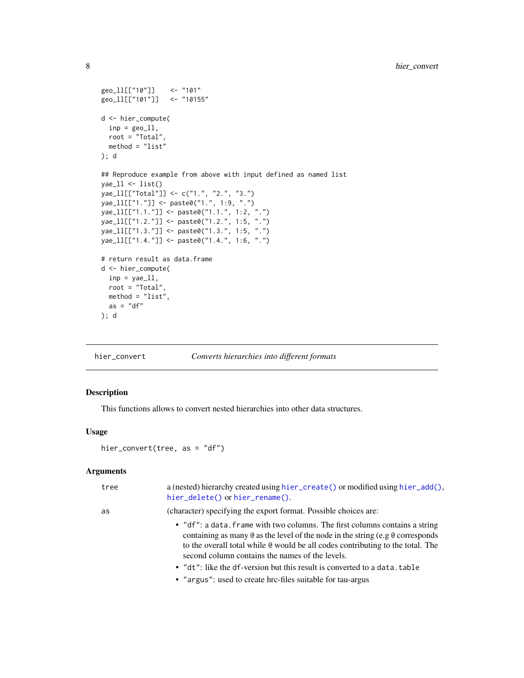```
geo_ll[["10"]] <- "101"
geo_ll[["101"]] <- "10155"
d <- hier_compute(
 inp = geo_11,root = "Total",
  method = "list"
); d
## Reproduce example from above with input defined as named list
yae_l1 < - list()
yae_ll[["Total"]] <- c("1.", "2.", "3.")
yae_ll[["1."]] <- paste0("1.", 1:9, ".")
yae_ll[["1.1."]] <- paste0("1.1.", 1:2, ".")
yae_ll[["1.2."]] <- paste0("1.2.", 1:5, ".")
yae_ll[["1.3."]] <- paste0("1.3.", 1:5, ".")
yae_ll[["1.4."]] <- paste0("1.4.", 1:6, ".")
# return result as data.frame
d <- hier_compute(
 inp = yae_11,root = "Total",
 method = "list",
 as = "df"); d
```
<span id="page-7-1"></span>hier\_convert *Converts hierarchies into different formats*

#### Description

This functions allows to convert nested hierarchies into other data structures.

#### Usage

```
hier_convert(tree, as = "df")
```
# Arguments

| tree | a (nested) hierarchy created using hier_create() or modified using hier_add(),<br>hier_delete() or hier_rename().                                                                                                                                                                                               |
|------|-----------------------------------------------------------------------------------------------------------------------------------------------------------------------------------------------------------------------------------------------------------------------------------------------------------------|
| as   | (character) specifying the export format. Possible choices are:                                                                                                                                                                                                                                                 |
|      | • "df": a data. frame with two columns. The first columns contains a string<br>containing as many $\&$ as the level of the node in the string (e.g $\&$ corresponds<br>to the overall total while $\Theta$ would be all codes contributing to the total. The<br>second column contains the names of the levels. |
|      | • "dt": like the df-version but this result is converted to a data. table                                                                                                                                                                                                                                       |
|      | • "argus": used to create hrc-files suitable for tau-argus                                                                                                                                                                                                                                                      |
|      |                                                                                                                                                                                                                                                                                                                 |

<span id="page-7-0"></span>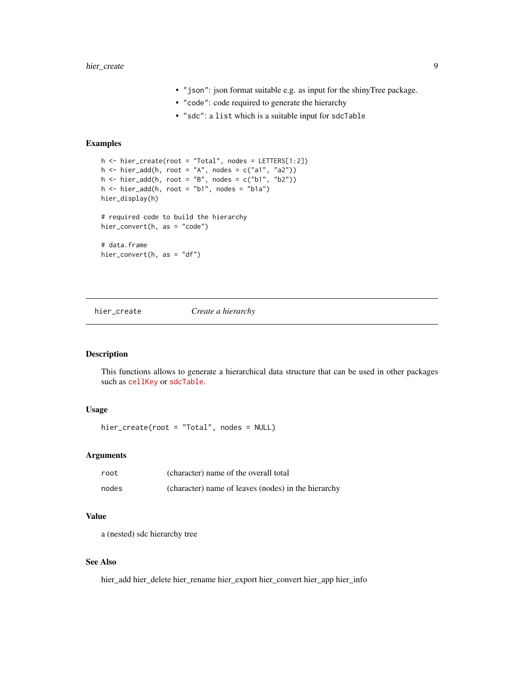# <span id="page-8-0"></span>hier\_create 9

- "json": json format suitable e.g. as input for the shinyTree package.
- "code": code required to generate the hierarchy
- "sdc": a list which is a suitable input for sdcTable

#### Examples

```
h <- hier_create(root = "Total", nodes = LETTERS[1:2])
h \le - hier_add(h, root = "A", nodes = c("a1", "a2"))
h \le - hier_add(h, root = "B", nodes = c("b1", "b2"))
h <- hier_add(h, root = "b1", nodes = "b1a")
hier_display(h)
# required code to build the hierarchy
hier_convert(h, as = "code")
# data.frame
hier_convert(h, as = "df")
```
### <span id="page-8-1"></span>hier\_create *Create a hierarchy*

# Description

This functions allows to generate a hierarchical data structure that can be used in other packages such as [cellKey](https://github.com/sdcTools/cellKey) or [sdcTable](https://github.com/sdcTools/sdcTable).

# Usage

hier\_create(root = "Total", nodes = NULL)

#### Arguments

| root  | (character) name of the overall total               |
|-------|-----------------------------------------------------|
| nodes | (character) name of leaves (nodes) in the hierarchy |

# Value

a (nested) sdc hierarchy tree

# See Also

hier\_add hier\_delete hier\_rename hier\_export hier\_convert hier\_app hier\_info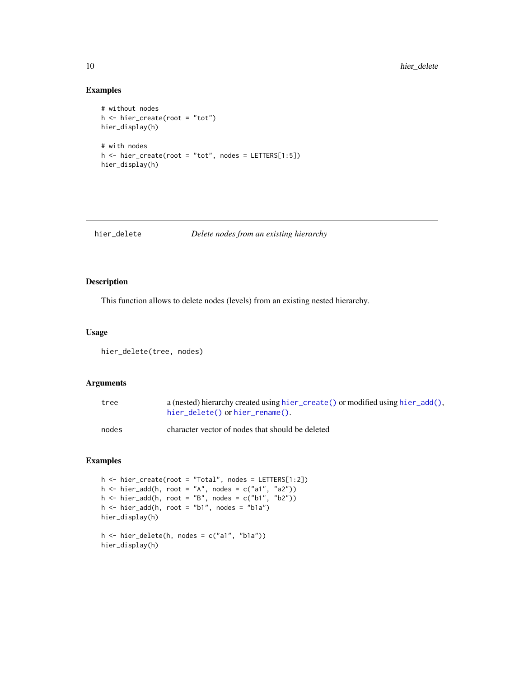# Examples

```
# without nodes
h \leftarrow hier\_create(root = "tot")hier_display(h)
# with nodes
h <- hier_create(root = "tot", nodes = LETTERS[1:5])
hier_display(h)
```
#### <span id="page-9-1"></span>hier\_delete *Delete nodes from an existing hierarchy*

# Description

This function allows to delete nodes (levels) from an existing nested hierarchy.

#### Usage

hier\_delete(tree, nodes)

# Arguments

| tree  | a (nested) hierarchy created using hier_create() or modified using hier_add(),<br>$hier$ delete() or $hier$ rename(). |
|-------|-----------------------------------------------------------------------------------------------------------------------|
| nodes | character vector of nodes that should be deleted                                                                      |

```
h <- hier_create(root = "Total", nodes = LETTERS[1:2])
h <- hier_add(h, root = "A", nodes = c("a1", "a2"))h \leq - \text{hier\_add}(h, \text{root} = "B", \text{nodes} = c("b1", "b2"))h \le - \text{hier\_add}(h, \text{root} = "b1", \text{nodes} = "b1a")hier_display(h)
h \le -\text{ hier\_delete}(h, \text{ nodes} = c("a1", "b1a"))hier_display(h)
```
<span id="page-9-0"></span>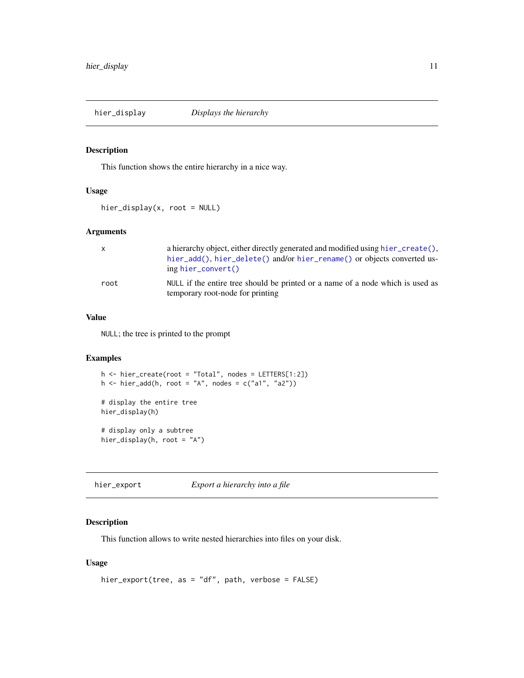<span id="page-10-0"></span>

This function shows the entire hierarchy in a nice way.

# Usage

hier\_display(x, root = NULL)

# Arguments

| $\mathsf{x}$ | a hierarchy object, either directly generated and modified using hier_create(),<br>hier_add(), hier_delete() and/or hier_rename() or objects converted us-<br>$ing hierconvert()$ |
|--------------|-----------------------------------------------------------------------------------------------------------------------------------------------------------------------------------|
| root         | NULL if the entire tree should be printed or a name of a node which is used as<br>temporary root-node for printing                                                                |

# Value

NULL; the tree is printed to the prompt

# Examples

```
h <- hier_create(root = "Total", nodes = LETTERS[1:2])
h \le hier_add(h, root = "A", nodes = c("a1", "a2"))
# display the entire tree
hier_display(h)
# display only a subtree
hier_display(h, root = "A")
```
<span id="page-10-1"></span>hier\_export *Export a hierarchy into a file*

# Description

This function allows to write nested hierarchies into files on your disk.

# Usage

```
hier_export(tree, as = "df", path, verbose = FALSE)
```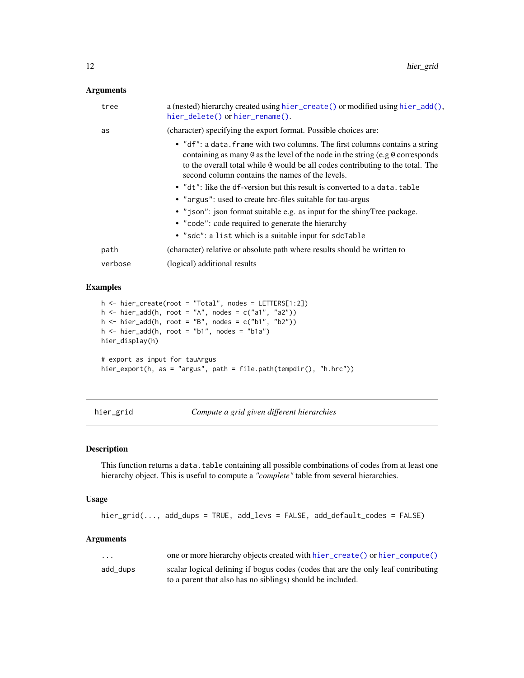#### <span id="page-11-0"></span>Arguments

| tree    | a (nested) hierarchy created using hier_create() or modified using hier_add(),<br>hier_delete() or hier_rename().                                                                                                                                                                                        |
|---------|----------------------------------------------------------------------------------------------------------------------------------------------------------------------------------------------------------------------------------------------------------------------------------------------------------|
| as      | (character) specifying the export format. Possible choices are:                                                                                                                                                                                                                                          |
|         | • "df": a data. frame with two columns. The first columns contains a string<br>containing as many $\&$ as the level of the node in the string (e.g $\&$ corresponds<br>to the overall total while @ would be all codes contributing to the total. The<br>second column contains the names of the levels. |
|         | • "dt": like the df-version but this result is converted to a data.table                                                                                                                                                                                                                                 |
|         | • "argus": used to create hrc-files suitable for tau-argus                                                                                                                                                                                                                                               |
|         | • "json": json format suitable e.g. as input for the shiny Tree package.                                                                                                                                                                                                                                 |
|         | • "code": code required to generate the hierarchy                                                                                                                                                                                                                                                        |
|         | • "sdc": a list which is a suitable input for sdcTable                                                                                                                                                                                                                                                   |
| path    | (character) relative or absolute path where results should be written to                                                                                                                                                                                                                                 |
| verbose | (logical) additional results                                                                                                                                                                                                                                                                             |
|         |                                                                                                                                                                                                                                                                                                          |

# Examples

```
h <- hier_create(root = "Total", nodes = LETTERS[1:2])
h <- hier_add(h, root = "A", nodes = c("a1", "a2"))
h <- hier_add(h, root = "B", nodes = c("b1", "b2"))
h \le - \text{hier\_add}(h, \text{root} = "b1", \text{nodes} = "b1a")hier_display(h)
# export as input for tauArgus
hier_export(h, as = "argus", path = file.path(tempdir(), "h.hrc"))
```
hier\_grid *Compute a grid given different hierarchies*

# Description

This function returns a data.table containing all possible combinations of codes from at least one hierarchy object. This is useful to compute a *"complete"* table from several hierarchies.

#### Usage

hier\_grid(..., add\_dups = TRUE, add\_levs = FALSE, add\_default\_codes = FALSE)

#### Arguments

| .        | one or more hierarchy objects created with hier_create() or hier_compute()        |
|----------|-----------------------------------------------------------------------------------|
| add_dups | scalar logical defining if bogus codes (codes that are the only leaf contributing |
|          | to a parent that also has no siblings) should be included.                        |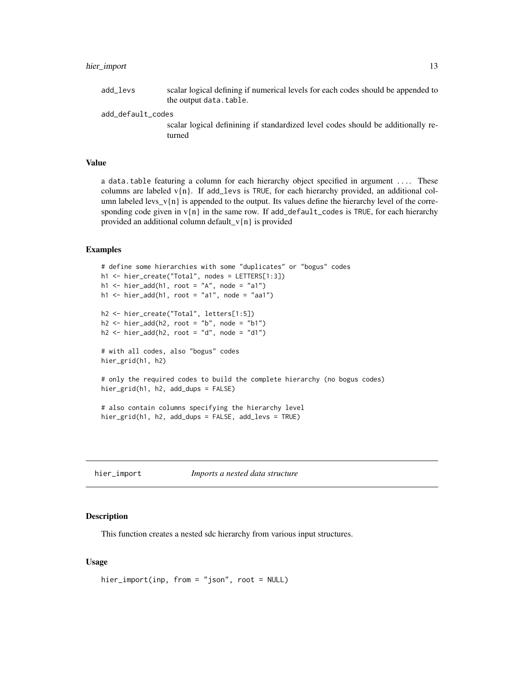# <span id="page-12-0"></span>hier\_import 13

add\_levs scalar logical defining if numerical levels for each codes should be appended to the output data.table.

add\_default\_codes

scalar logical definining if standardized level codes should be additionally returned

#### Value

a data.table featuring a column for each hierarchy object specified in argument .... These columns are labeled  $v\{n\}$ . If add\_levs is TRUE, for each hierarchy provided, an additional column labeled levs\_v{n} is appended to the output. Its values define the hierarchy level of the corresponding code given in  $v\{n\}$  in the same row. If add\_default\_codes is TRUE, for each hierarchy provided an additional column default\_v{n} is provided

# Examples

```
# define some hierarchies with some "duplicates" or "bogus" codes
h1 <- hier_create("Total", nodes = LETTERS[1:3])
h1 <- hier_add(h1, root = "A", node = "a1")
h1 <- hier_add(h1, root = "a1", node = "aa1")
h2 <- hier_create("Total", letters[1:5])
h2 \le - \text{hier\_add}(h2, \text{root} = "b", \text{node} = "b1")h2 <- hier_add(h2, root = "d", node = "d1")
# with all codes, also "bogus" codes
hier_grid(h1, h2)
# only the required codes to build the complete hierarchy (no bogus codes)
hier_grid(h1, h2, add_dups = FALSE)
# also contain columns specifying the hierarchy level
hier_grid(h1, h2, add_dups = FALSE, add_levs = TRUE)
```
hier\_import *Imports a nested data structure*

#### Description

This function creates a nested sdc hierarchy from various input structures.

#### Usage

```
hier_import(inp, from = "json", root = NULL)
```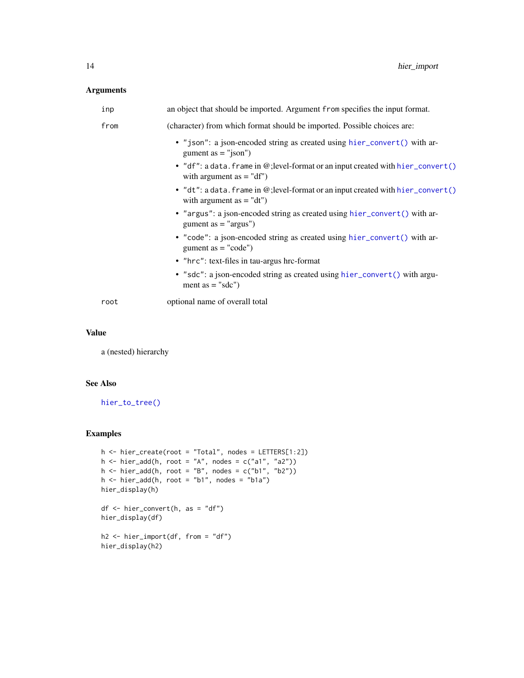# <span id="page-13-0"></span>Arguments

| from<br>(character) from which format should be imported. Possible choices are:<br>• "json": a json-encoded string as created using hier_convert() with ar-<br>gument as $=$ "json")<br>with argument $as = "df")$<br>with argument $as = "dt")$<br>• "argus": a json-encoded string as created using hier_convert() with ar-<br>gument as $=$ "argus")<br>• "code": a json-encoded string as created using hier_convert() with ar-<br>gument as $=$ "code")<br>• "hrc": text-files in tau-argus hrc-format<br>• "sdc": a json-encoded string as created using hier_convert() with argu-<br>ment as $=$ "sdc")<br>optional name of overall total<br>root | inp | an object that should be imported. Argument from specifies the input format.     |
|----------------------------------------------------------------------------------------------------------------------------------------------------------------------------------------------------------------------------------------------------------------------------------------------------------------------------------------------------------------------------------------------------------------------------------------------------------------------------------------------------------------------------------------------------------------------------------------------------------------------------------------------------------|-----|----------------------------------------------------------------------------------|
|                                                                                                                                                                                                                                                                                                                                                                                                                                                                                                                                                                                                                                                          |     |                                                                                  |
|                                                                                                                                                                                                                                                                                                                                                                                                                                                                                                                                                                                                                                                          |     |                                                                                  |
|                                                                                                                                                                                                                                                                                                                                                                                                                                                                                                                                                                                                                                                          |     | • "df": a data. frame in @; level-format or an input created with hier_convert() |
|                                                                                                                                                                                                                                                                                                                                                                                                                                                                                                                                                                                                                                                          |     | • "dt": a data. frame in @; level-format or an input created with hier_convert() |
|                                                                                                                                                                                                                                                                                                                                                                                                                                                                                                                                                                                                                                                          |     |                                                                                  |
|                                                                                                                                                                                                                                                                                                                                                                                                                                                                                                                                                                                                                                                          |     |                                                                                  |
|                                                                                                                                                                                                                                                                                                                                                                                                                                                                                                                                                                                                                                                          |     |                                                                                  |
|                                                                                                                                                                                                                                                                                                                                                                                                                                                                                                                                                                                                                                                          |     |                                                                                  |
|                                                                                                                                                                                                                                                                                                                                                                                                                                                                                                                                                                                                                                                          |     |                                                                                  |

### Value

a (nested) hierarchy

# See Also

[hier\\_to\\_tree\(\)](#page-17-1)

```
h <- hier_create(root = "Total", nodes = LETTERS[1:2])
h <- hier_add(h, root = "A", nodes = c("a1", "a2"))
h <- hier_add(h, root = "B", nodes = c("b1", "b2"))
h \leq -\text{hier\_add}(h, \text{root} = "b1", \text{nodes} = "b1a")hier_display(h)
df <- hier_convert(h, as = "df")
hier_display(df)
h2 <- hier_import(df, from = "df")
hier_display(h2)
```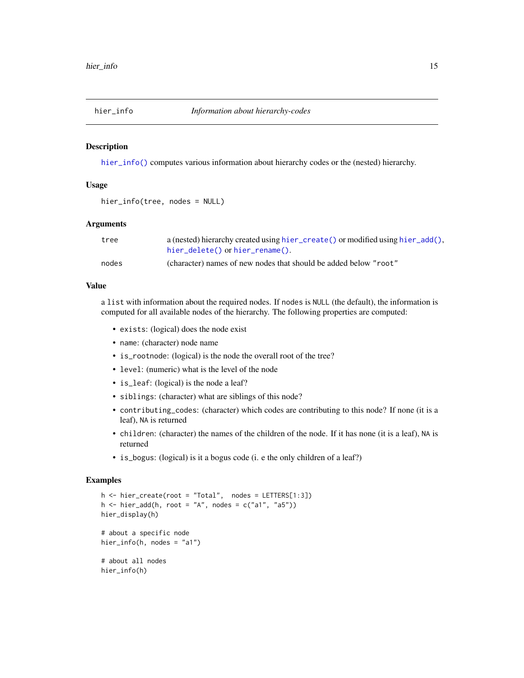<span id="page-14-1"></span><span id="page-14-0"></span>

[hier\\_info\(\)](#page-14-1) computes various information about hierarchy codes or the (nested) hierarchy.

# Usage

hier\_info(tree, nodes = NULL)

# Arguments

| tree  | a (nested) hierarchy created using hier_create() or modified using hier_add(), |
|-------|--------------------------------------------------------------------------------|
|       | $hier$ delete() or $hier$ rename().                                            |
| nodes | (character) names of new nodes that should be added below "root"               |

#### Value

a list with information about the required nodes. If nodes is NULL (the default), the information is computed for all available nodes of the hierarchy. The following properties are computed:

- exists: (logical) does the node exist
- name: (character) node name
- is\_rootnode: (logical) is the node the overall root of the tree?
- level: (numeric) what is the level of the node
- is\_leaf: (logical) is the node a leaf?
- siblings: (character) what are siblings of this node?
- contributing\_codes: (character) which codes are contributing to this node? If none (it is a leaf), NA is returned
- children: (character) the names of the children of the node. If it has none (it is a leaf), NA is returned
- is\_bogus: (logical) is it a bogus code (i. e the only children of a leaf?)

```
h \le - hier_create(root = "Total", nodes = LETTERS[1:3])
h \le hier_add(h, root = "A", nodes = c("a1", "a5"))
hier_display(h)
# about a specific node
hier_info(h, nodes = "a1")
# about all nodes
hier_info(h)
```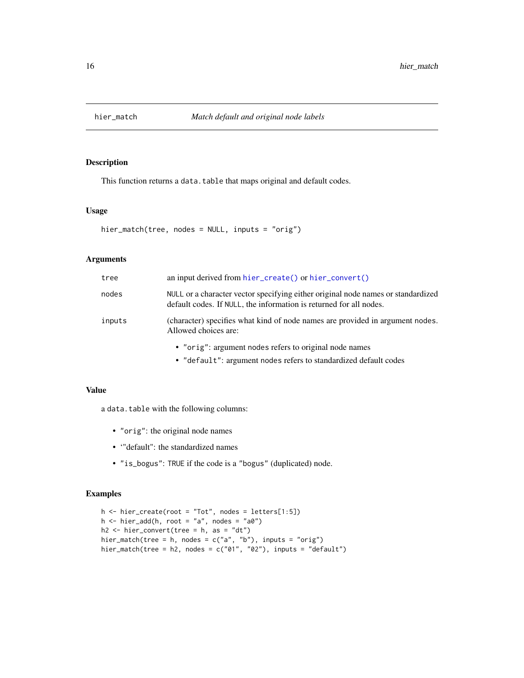<span id="page-15-0"></span>

This function returns a data.table that maps original and default codes.

# Usage

```
hier_match(tree, nodes = NULL, inputs = "orig")
```
# Arguments

| tree   | an input derived from $hier\_create()$ or $hier\_convert()$                                                                                            |
|--------|--------------------------------------------------------------------------------------------------------------------------------------------------------|
| nodes  | NULL or a character vector specifying either original node names or standardized<br>default codes. If NULL, the information is returned for all nodes. |
| inputs | (character) specifies what kind of node names are provided in argument nodes.<br>Allowed choices are:                                                  |
|        | • "orig": argument nodes refers to original node names                                                                                                 |
|        |                                                                                                                                                        |

#### • "default": argument nodes refers to standardized default codes

#### Value

a data.table with the following columns:

- "orig": the original node names
- '"default": the standardized names
- "is\_bogus": TRUE if the code is a "bogus" (duplicated) node.

```
h <- hier_create(root = "Tot", nodes = letters[1:5])
h \le - \text{hier\_add}(h, \text{root} = "a", \text{nodes} = "a0")h2 \leq -\text{hier\_convert}(\text{tree = h, as = "dt")}hier_match(tree = h, nodes = c("a", "b"), inputs = "orig")
hier_match(tree = h2, nodes = c("01", "02"), inputs = "default")
```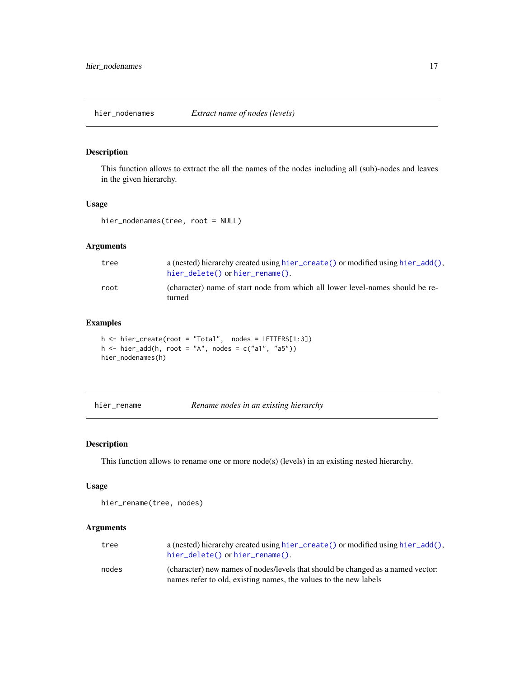<span id="page-16-0"></span>

This function allows to extract the all the names of the nodes including all (sub)-nodes and leaves in the given hierarchy.

# Usage

```
hier_nodenames(tree, root = NULL)
```
# Arguments

| tree | a (nested) hierarchy created using hier_create() or modified using hier_add(),<br>$hier$ delete() or $hier$ rename(). |
|------|-----------------------------------------------------------------------------------------------------------------------|
| root | (character) name of start node from which all lower level-names should be re-<br>turned                               |

# Examples

h <- hier\_create(root = "Total", nodes = LETTERS[1:3]) h  $\le$  hier\_add(h, root = "A", nodes = c("a1", "a5")) hier\_nodenames(h)

```
hier_rename Rename nodes in an existing hierarchy
```
### Description

This function allows to rename one or more node(s) (levels) in an existing nested hierarchy.

#### Usage

hier\_rename(tree, nodes)

# Arguments

| tree  | a (nested) hierarchy created using hier_create() or modified using hier_add(),<br>hier_delete() or hier_rename().                                   |
|-------|-----------------------------------------------------------------------------------------------------------------------------------------------------|
| nodes | (character) new names of nodes/levels that should be changed as a named vector:<br>names refer to old, existing names, the values to the new labels |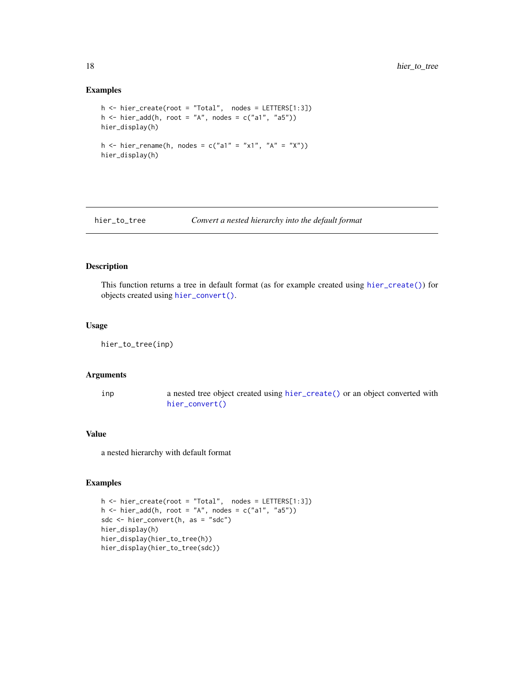#### Examples

```
h \le -\text{hier\_create(root = "Total", nodes = \text{LETTERS[1:3]}})h \le hier_add(h, root = "A", nodes = c("a1", "a5"))
hier_display(h)
h <- hier_rename(h, nodes = c("a1" = "x1", "A" = "X"))
hier_display(h)
```
<span id="page-17-1"></span>hier\_to\_tree *Convert a nested hierarchy into the default format*

#### Description

This function returns a tree in default format (as for example created using [hier\\_create\(\)](#page-8-1)) for objects created using [hier\\_convert\(\)](#page-7-1).

# Usage

hier\_to\_tree(inp)

#### Arguments

inp a nested tree object created using [hier\\_create\(\)](#page-8-1) or an object converted with [hier\\_convert\(\)](#page-7-1)

## Value

a nested hierarchy with default format

```
h \leq - hier_create(root = "Total", nodes = LETTERS[1:3])
h \le hier_add(h, root = "A", nodes = c("a1", "a5"))
sdc <- hier_convert(h, as = "sdc")
hier_display(h)
hier_display(hier_to_tree(h))
hier_display(hier_to_tree(sdc))
```
<span id="page-17-0"></span>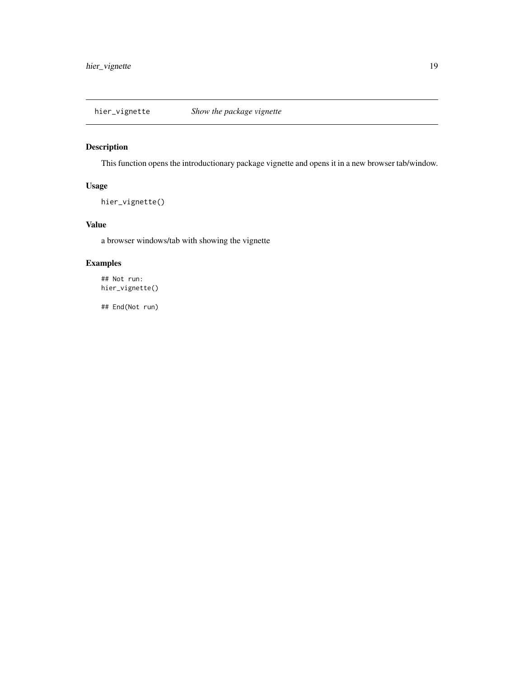<span id="page-18-0"></span>

This function opens the introductionary package vignette and opens it in a new browser tab/window.

# Usage

```
hier_vignette()
```
# Value

a browser windows/tab with showing the vignette

# Examples

## Not run: hier\_vignette()

## End(Not run)